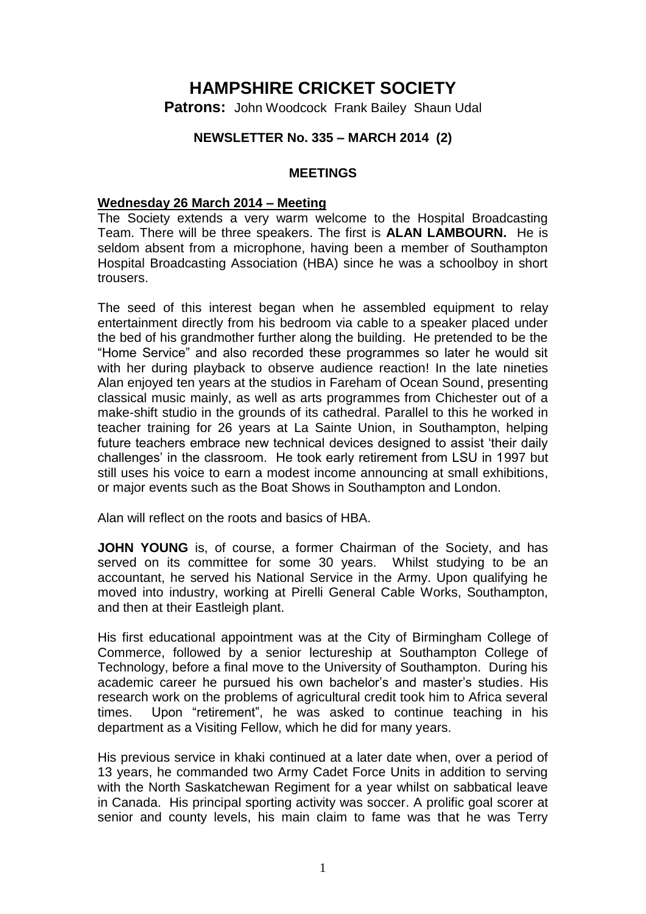# **HAMPSHIRE CRICKET SOCIETY**

**Patrons:** John Woodcock Frank Bailey Shaun Udal

## **NEWSLETTER No. 335 – MARCH 2014 (2)**

#### **MEETINGS**

#### **Wednesday 26 March 2014 – Meeting**

The Society extends a very warm welcome to the Hospital Broadcasting Team. There will be three speakers. The first is **ALAN LAMBOURN.** He is seldom absent from a microphone, having been a member of Southampton Hospital Broadcasting Association (HBA) since he was a schoolboy in short trousers.

The seed of this interest began when he assembled equipment to relay entertainment directly from his bedroom via cable to a speaker placed under the bed of his grandmother further along the building. He pretended to be the "Home Service" and also recorded these programmes so later he would sit with her during playback to observe audience reaction! In the late nineties Alan enjoyed ten years at the studios in Fareham of Ocean Sound, presenting classical music mainly, as well as arts programmes from Chichester out of a make-shift studio in the grounds of its cathedral. Parallel to this he worked in teacher training for 26 years at La Sainte Union, in Southampton, helping future teachers embrace new technical devices designed to assist 'their daily challenges' in the classroom. He took early retirement from LSU in 1997 but still uses his voice to earn a modest income announcing at small exhibitions, or major events such as the Boat Shows in Southampton and London.

Alan will reflect on the roots and basics of HBA.

**JOHN YOUNG** is, of course, a former Chairman of the Society, and has served on its committee for some 30 years. Whilst studying to be an accountant, he served his National Service in the Army. Upon qualifying he moved into industry, working at Pirelli General Cable Works, Southampton, and then at their Eastleigh plant.

His first educational appointment was at the City of Birmingham College of Commerce, followed by a senior lectureship at Southampton College of Technology, before a final move to the University of Southampton. During his academic career he pursued his own bachelor's and master's studies. His research work on the problems of agricultural credit took him to Africa several times. Upon "retirement", he was asked to continue teaching in his department as a Visiting Fellow, which he did for many years.

His previous service in khaki continued at a later date when, over a period of 13 years, he commanded two Army Cadet Force Units in addition to serving with the North Saskatchewan Regiment for a year whilst on sabbatical leave in Canada. His principal sporting activity was soccer. A prolific goal scorer at senior and county levels, his main claim to fame was that he was Terry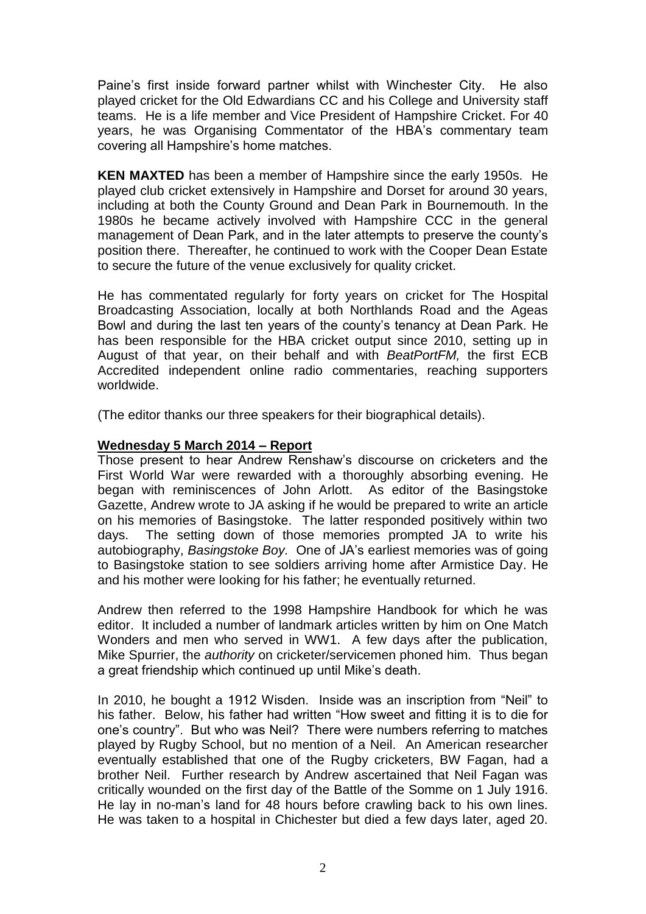Paine's first inside forward partner whilst with Winchester City. He also played cricket for the Old Edwardians CC and his College and University staff teams. He is a life member and Vice President of Hampshire Cricket. For 40 years, he was Organising Commentator of the HBA's commentary team covering all Hampshire's home matches.

**KEN MAXTED** has been a member of Hampshire since the early 1950s. He played club cricket extensively in Hampshire and Dorset for around 30 years, including at both the County Ground and Dean Park in Bournemouth. In the 1980s he became actively involved with Hampshire CCC in the general management of Dean Park, and in the later attempts to preserve the county's position there. Thereafter, he continued to work with the Cooper Dean Estate to secure the future of the venue exclusively for quality cricket.

He has commentated regularly for forty years on cricket for The Hospital Broadcasting Association, locally at both Northlands Road and the Ageas Bowl and during the last ten years of the county's tenancy at Dean Park. He has been responsible for the HBA cricket output since 2010, setting up in August of that year, on their behalf and with *BeatPortFM,* the first ECB Accredited independent online radio commentaries, reaching supporters worldwide.

(The editor thanks our three speakers for their biographical details).

## **Wednesday 5 March 2014 – Report**

Those present to hear Andrew Renshaw's discourse on cricketers and the First World War were rewarded with a thoroughly absorbing evening. He began with reminiscences of John Arlott. As editor of the Basingstoke Gazette, Andrew wrote to JA asking if he would be prepared to write an article on his memories of Basingstoke. The latter responded positively within two days. The setting down of those memories prompted JA to write his autobiography, *Basingstoke Boy.* One of JA's earliest memories was of going to Basingstoke station to see soldiers arriving home after Armistice Day. He and his mother were looking for his father; he eventually returned.

Andrew then referred to the 1998 Hampshire Handbook for which he was editor. It included a number of landmark articles written by him on One Match Wonders and men who served in WW1. A few days after the publication, Mike Spurrier, the *authority* on cricketer/servicemen phoned him. Thus began a great friendship which continued up until Mike's death.

In 2010, he bought a 1912 Wisden. Inside was an inscription from "Neil" to his father. Below, his father had written "How sweet and fitting it is to die for one's country". But who was Neil? There were numbers referring to matches played by Rugby School, but no mention of a Neil. An American researcher eventually established that one of the Rugby cricketers, BW Fagan, had a brother Neil. Further research by Andrew ascertained that Neil Fagan was critically wounded on the first day of the Battle of the Somme on 1 July 1916. He lay in no-man's land for 48 hours before crawling back to his own lines. He was taken to a hospital in Chichester but died a few days later, aged 20.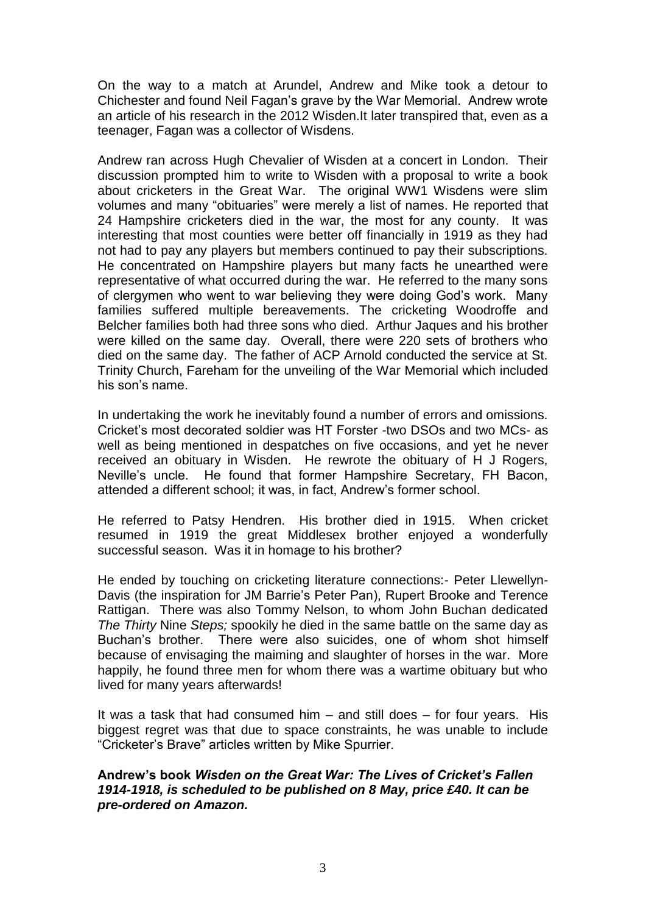On the way to a match at Arundel, Andrew and Mike took a detour to Chichester and found Neil Fagan's grave by the War Memorial. Andrew wrote an article of his research in the 2012 Wisden.It later transpired that, even as a teenager, Fagan was a collector of Wisdens.

Andrew ran across Hugh Chevalier of Wisden at a concert in London. Their discussion prompted him to write to Wisden with a proposal to write a book about cricketers in the Great War. The original WW1 Wisdens were slim volumes and many "obituaries" were merely a list of names. He reported that 24 Hampshire cricketers died in the war, the most for any county. It was interesting that most counties were better off financially in 1919 as they had not had to pay any players but members continued to pay their subscriptions. He concentrated on Hampshire players but many facts he unearthed were representative of what occurred during the war. He referred to the many sons of clergymen who went to war believing they were doing God's work. Many families suffered multiple bereavements. The cricketing Woodroffe and Belcher families both had three sons who died. Arthur Jaques and his brother were killed on the same day. Overall, there were 220 sets of brothers who died on the same day. The father of ACP Arnold conducted the service at St. Trinity Church, Fareham for the unveiling of the War Memorial which included his son's name.

In undertaking the work he inevitably found a number of errors and omissions. Cricket's most decorated soldier was HT Forster -two DSOs and two MCs- as well as being mentioned in despatches on five occasions, and yet he never received an obituary in Wisden. He rewrote the obituary of H J Rogers, Neville's uncle. He found that former Hampshire Secretary, FH Bacon, attended a different school; it was, in fact, Andrew's former school.

He referred to Patsy Hendren. His brother died in 1915. When cricket resumed in 1919 the great Middlesex brother enjoyed a wonderfully successful season. Was it in homage to his brother?

He ended by touching on cricketing literature connections:- Peter Llewellyn-Davis (the inspiration for JM Barrie's Peter Pan), Rupert Brooke and Terence Rattigan. There was also Tommy Nelson, to whom John Buchan dedicated *The Thirty* Nine *Steps;* spookily he died in the same battle on the same day as Buchan's brother. There were also suicides, one of whom shot himself because of envisaging the maiming and slaughter of horses in the war. More happily, he found three men for whom there was a wartime obituary but who lived for many years afterwards!

It was a task that had consumed him – and still does – for four years. His biggest regret was that due to space constraints, he was unable to include "Cricketer's Brave" articles written by Mike Spurrier.

## **Andrew's book** *Wisden on the Great War: The Lives of Cricket's Fallen 1914-1918, is scheduled to be published on 8 May, price £40. It can be pre-ordered on Amazon.*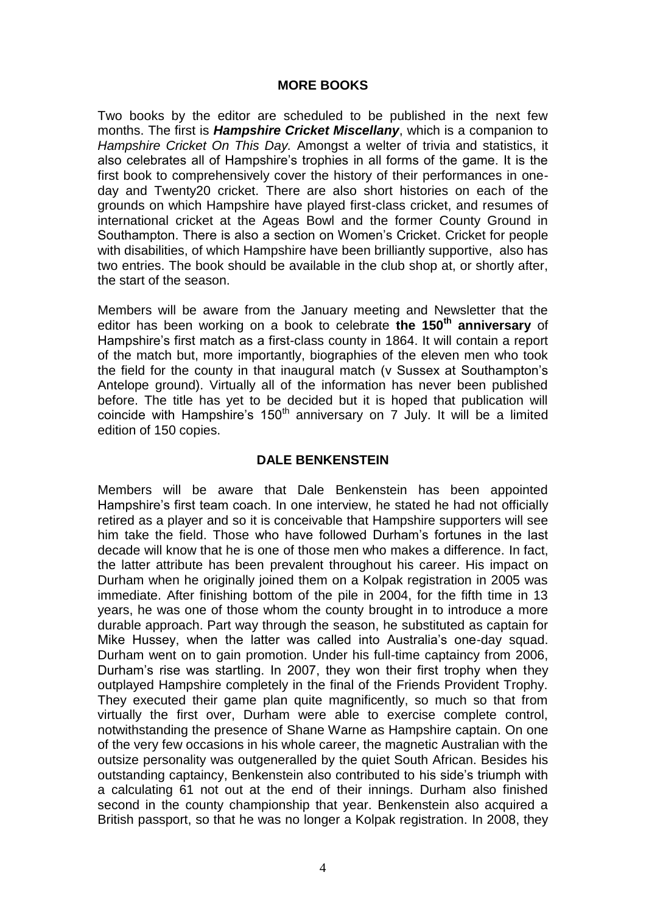#### **MORE BOOKS**

Two books by the editor are scheduled to be published in the next few months. The first is *Hampshire Cricket Miscellany*, which is a companion to *Hampshire Cricket On This Day.* Amongst a welter of trivia and statistics, it also celebrates all of Hampshire's trophies in all forms of the game. It is the first book to comprehensively cover the history of their performances in oneday and Twenty20 cricket. There are also short histories on each of the grounds on which Hampshire have played first-class cricket, and resumes of international cricket at the Ageas Bowl and the former County Ground in Southampton. There is also a section on Women's Cricket. Cricket for people with disabilities, of which Hampshire have been brilliantly supportive, also has two entries. The book should be available in the club shop at, or shortly after, the start of the season.

Members will be aware from the January meeting and Newsletter that the editor has been working on a book to celebrate **the 150th anniversary** of Hampshire's first match as a first-class county in 1864. It will contain a report of the match but, more importantly, biographies of the eleven men who took the field for the county in that inaugural match (v Sussex at Southampton's Antelope ground). Virtually all of the information has never been published before. The title has yet to be decided but it is hoped that publication will coincide with Hampshire's 150<sup>th</sup> anniversary on 7 July. It will be a limited edition of 150 copies.

## **DALE BENKENSTEIN**

Members will be aware that Dale Benkenstein has been appointed Hampshire's first team coach. In one interview, he stated he had not officially retired as a player and so it is conceivable that Hampshire supporters will see him take the field. Those who have followed Durham's fortunes in the last decade will know that he is one of those men who makes a difference. In fact, the latter attribute has been prevalent throughout his career. His impact on Durham when he originally joined them on a Kolpak registration in 2005 was immediate. After finishing bottom of the pile in 2004, for the fifth time in 13 years, he was one of those whom the county brought in to introduce a more durable approach. Part way through the season, he substituted as captain for Mike Hussey, when the latter was called into Australia's one-day squad. Durham went on to gain promotion. Under his full-time captaincy from 2006, Durham's rise was startling. In 2007, they won their first trophy when they outplayed Hampshire completely in the final of the Friends Provident Trophy. They executed their game plan quite magnificently, so much so that from virtually the first over, Durham were able to exercise complete control, notwithstanding the presence of Shane Warne as Hampshire captain. On one of the very few occasions in his whole career, the magnetic Australian with the outsize personality was outgeneralled by the quiet South African. Besides his outstanding captaincy, Benkenstein also contributed to his side's triumph with a calculating 61 not out at the end of their innings. Durham also finished second in the county championship that year. Benkenstein also acquired a British passport, so that he was no longer a Kolpak registration. In 2008, they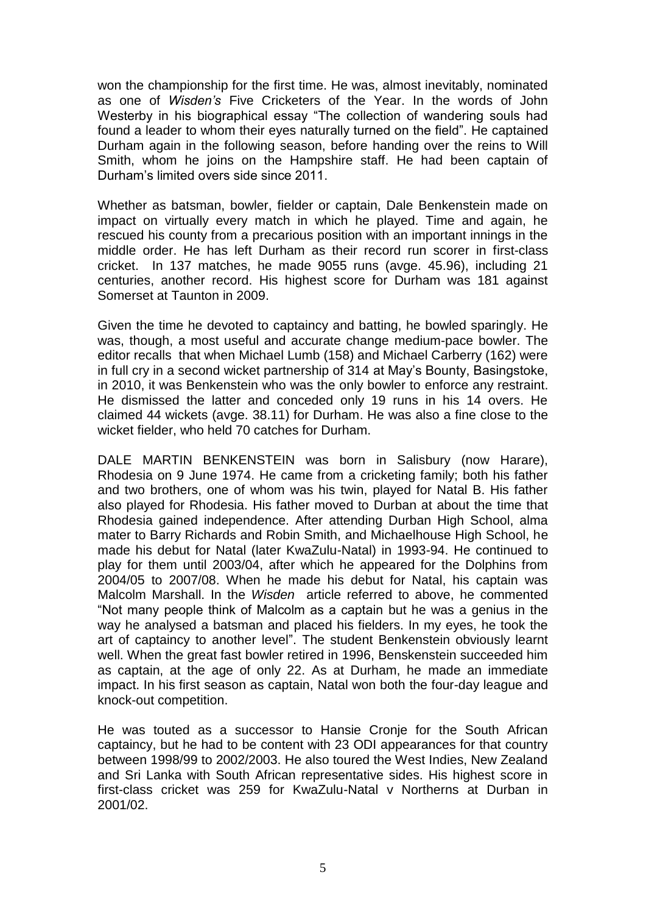won the championship for the first time. He was, almost inevitably, nominated as one of *Wisden's* Five Cricketers of the Year. In the words of John Westerby in his biographical essay "The collection of wandering souls had found a leader to whom their eyes naturally turned on the field". He captained Durham again in the following season, before handing over the reins to Will Smith, whom he joins on the Hampshire staff. He had been captain of Durham's limited overs side since 2011.

Whether as batsman, bowler, fielder or captain, Dale Benkenstein made on impact on virtually every match in which he played. Time and again, he rescued his county from a precarious position with an important innings in the middle order. He has left Durham as their record run scorer in first-class cricket. In 137 matches, he made 9055 runs (avge. 45.96), including 21 centuries, another record. His highest score for Durham was 181 against Somerset at Taunton in 2009.

Given the time he devoted to captaincy and batting, he bowled sparingly. He was, though, a most useful and accurate change medium-pace bowler. The editor recalls that when Michael Lumb (158) and Michael Carberry (162) were in full cry in a second wicket partnership of 314 at May's Bounty, Basingstoke, in 2010, it was Benkenstein who was the only bowler to enforce any restraint. He dismissed the latter and conceded only 19 runs in his 14 overs. He claimed 44 wickets (avge. 38.11) for Durham. He was also a fine close to the wicket fielder, who held 70 catches for Durham.

DALE MARTIN BENKENSTEIN was born in Salisbury (now Harare), Rhodesia on 9 June 1974. He came from a cricketing family; both his father and two brothers, one of whom was his twin, played for Natal B. His father also played for Rhodesia. His father moved to Durban at about the time that Rhodesia gained independence. After attending Durban High School, alma mater to Barry Richards and Robin Smith, and Michaelhouse High School, he made his debut for Natal (later KwaZulu-Natal) in 1993-94. He continued to play for them until 2003/04, after which he appeared for the Dolphins from 2004/05 to 2007/08. When he made his debut for Natal, his captain was Malcolm Marshall. In the *Wisden* article referred to above, he commented "Not many people think of Malcolm as a captain but he was a genius in the way he analysed a batsman and placed his fielders. In my eyes, he took the art of captaincy to another level". The student Benkenstein obviously learnt well. When the great fast bowler retired in 1996, Benskenstein succeeded him as captain, at the age of only 22. As at Durham, he made an immediate impact. In his first season as captain, Natal won both the four-day league and knock-out competition.

He was touted as a successor to Hansie Cronje for the South African captaincy, but he had to be content with 23 ODI appearances for that country between 1998/99 to 2002/2003. He also toured the West Indies, New Zealand and Sri Lanka with South African representative sides. His highest score in first-class cricket was 259 for KwaZulu-Natal v Northerns at Durban in 2001/02.